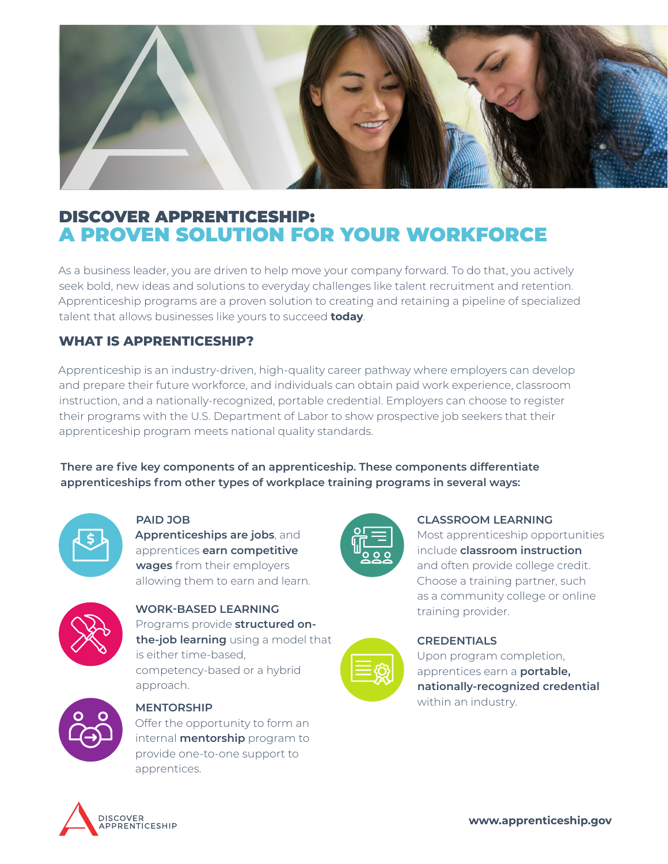

# DISCOVER APPRENTICESHIP: A PROVEN SOLUTION FOR YOUR WORKFORCE

As a business leader, you are driven to help move your company forward. To do that, you actively seek bold, new ideas and solutions to everyday challenges like talent recruitment and retention. Apprenticeship programs are a proven solution to creating and retaining a pipeline of specialized talent that allows businesses like yours to succeed **today**.

## **WHAT IS APPRENTICESHIP?**

Apprenticeship is an industry-driven, high-quality career pathway where employers can develop and prepare their future workforce, and individuals can obtain paid work experience, classroom instruction, and a nationally-recognized, portable credential. Employers can choose to register their programs with the U.S. Department of Labor to show prospective job seekers that their apprenticeship program meets national quality standards.

**There are five key components of an apprenticeship. These components differentiate apprenticeships from other types of workplace training programs in several ways:** 



**PAID JOB**

**Apprenticeships are jobs**, and apprentices **earn competitive wages** from their employers allowing them to earn and learn.



## **WORK-BASED LEARNING**

Programs provide **structured onthe-job learning** using a model that is either time-based, competency-based or a hybrid approach.



#### **MENTORSHIP**

Offer the opportunity to form an internal **mentorship** program to provide one-to-one support to apprentices.



#### **CLASSROOM LEARNING**

Most apprenticeship opportunities include **classroom instruction**  and often provide college credit. Choose a training partner, such as a community college or online training provider.

### **CREDENTIALS**

Upon program completion, apprentices earn a **portable, nationally-recognized credential**  within an industry.